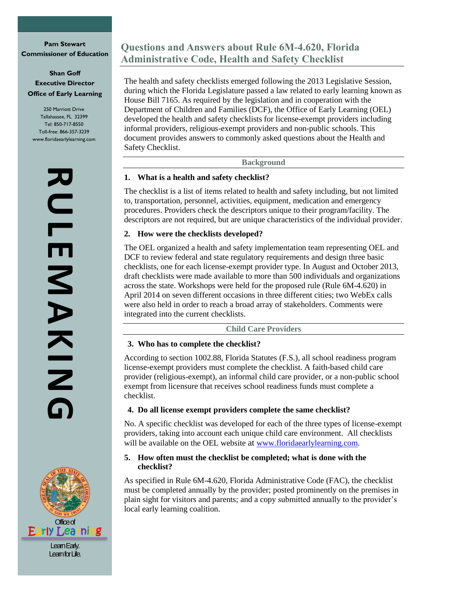**Pam Stewart Commissioner of Education**

# **Shan Goff Executive Director Office of Early Learning**

250 Marriott Drive Tallahassee, FL 32399 Tel: 850-717-8550 Toll-free: 866-357-3239 www.floridaearlylearning.com

> **RULEMAKING RULENNAKIN**



**Questions and Answers about Rule 6M-4.620, Florida Administrative Code, Health and Safety Checklist**

The health and safety checklists emerged following the 2013 Legislative Session, during which the Florida Legislature passed a law related to early learning known as House Bill 7165. As required by the legislation and in cooperation with the Department of Children and Families (DCF), the Office of Early Learning (OEL) developed the health and safety checklists for license-exempt providers including informal providers, religious-exempt providers and non-public schools. This document provides answers to commonly asked questions about the Health and Safety Checklist.

**Background**

## **1. What is a health and safety checklist?**

The checklist is a list of items related to health and safety including, but not limited to, transportation, personnel, activities, equipment, medication and emergency procedures. Providers check the descriptors unique to their program/facility. The descriptors are not required, but are unique characteristics of the individual provider.

## **2. How were the checklists developed?**

The OEL organized a health and safety implementation team representing OEL and DCF to review federal and state regulatory requirements and design three basic checklists, one for each license-exempt provider type. In August and October 2013, draft checklists were made available to more than 500 individuals and organizations across the state. Workshops were held for the proposed rule (Rule 6M-4.620) in April 2014 on seven different occasions in three different cities; two WebEx calls were also held in order to reach a broad array of stakeholders. Comments were integrated into the current checklists.

**Child Care Providers**

# **3. Who has to complete the checklist?**

According to section 1002.88, Florida Statutes (F.S.), all school readiness program license-exempt providers must complete the checklist. A faith-based child care provider (religious-exempt), an informal child care provider, or a non-public school exempt from licensure that receives school readiness funds must complete a checklist.

# **4. Do all license exempt providers complete the same checklist?**

No. A specific checklist was developed for each of the three types of license-exempt providers, taking into account each unique child care environment. All checklists will be available on the OEL website at [www.floridaearlylearning.com.](http://www.floridaearlylearning.com/)

## **5. How often must the checklist be completed; what is done with the checklist?**

As specified in Rule 6M-4.620, Florida Administrative Code (FAC), the checklist must be completed annually by the provider; posted prominently on the premises in plain sight for visitors and parents; and a copy submitted annually to the provider's local early learning coalition.